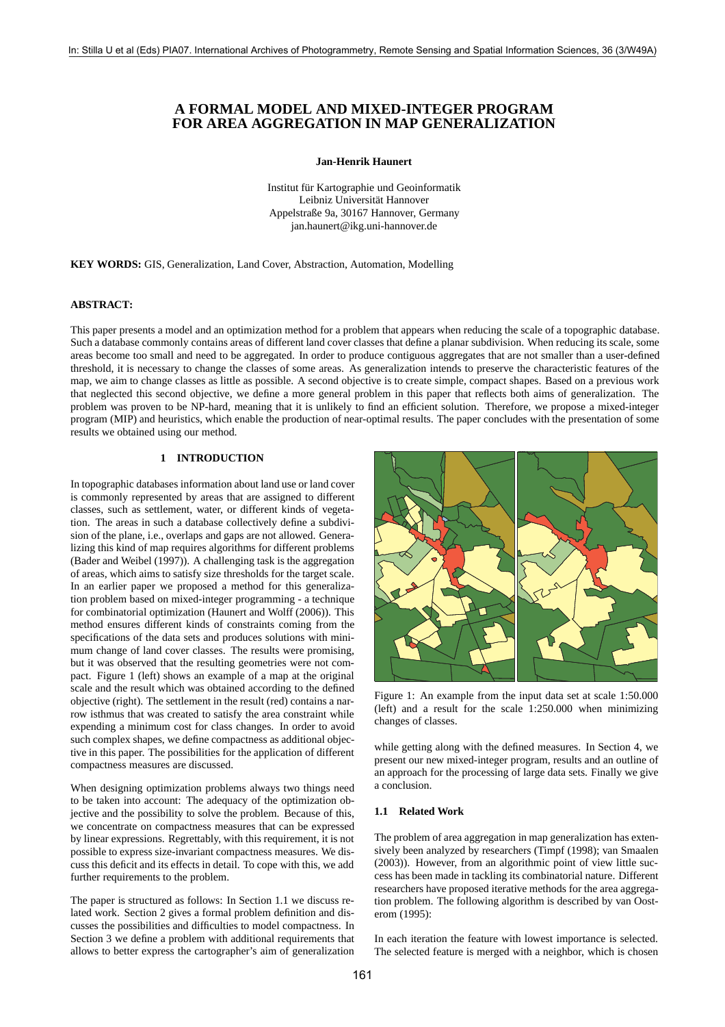# **A FORMAL MODEL AND MIXED-INTEGER PROGRAM FOR AREA AGGREGATION IN MAP GENERALIZATION**

**Jan-Henrik Haunert**

Institut für Kartographie und Geoinformatik Leibniz Universität Hannover Appelstraße 9a, 30167 Hannover, Germany jan.haunert@ikg.uni-hannover.de

**KEY WORDS:** GIS, Generalization, Land Cover, Abstraction, Automation, Modelling

### **ABSTRACT:**

This paper presents a model and an optimization method for a problem that appears when reducing the scale of a topographic database. Such a database commonly contains areas of different land cover classes that define a planar subdivision. When reducing its scale, some areas become too small and need to be aggregated. In order to produce contiguous aggregates that are not smaller than a user-defined threshold, it is necessary to change the classes of some areas. As generalization intends to preserve the characteristic features of the map, we aim to change classes as little as possible. A second objective is to create simple, compact shapes. Based on a previous work that neglected this second objective, we define a more general problem in this paper that reflects both aims of generalization. The problem was proven to be NP-hard, meaning that it is unlikely to find an efficient solution. Therefore, we propose a mixed-integer program (MIP) and heuristics, which enable the production of near-optimal results. The paper concludes with the presentation of some results we obtained using our method.

## **1 INTRODUCTION**

In topographic databases information about land use or land cover is commonly represented by areas that are assigned to different classes, such as settlement, water, or different kinds of vegetation. The areas in such a database collectively define a subdivision of the plane, i.e., overlaps and gaps are not allowed. Generalizing this kind of map requires algorithms for different problems (Bader and Weibel (1997)). A challenging task is the aggregation of areas, which aims to satisfy size thresholds for the target scale. In an earlier paper we proposed a method for this generalization problem based on mixed-integer programming - a technique for combinatorial optimization (Haunert and Wolff (2006)). This method ensures different kinds of constraints coming from the specifications of the data sets and produces solutions with minimum change of land cover classes. The results were promising, but it was observed that the resulting geometries were not compact. Figure 1 (left) shows an example of a map at the original scale and the result which was obtained according to the defined objective (right). The settlement in the result (red) contains a narrow isthmus that was created to satisfy the area constraint while expending a minimum cost for class changes. In order to avoid such complex shapes, we define compactness as additional objective in this paper. The possibilities for the application of different compactness measures are discussed.

When designing optimization problems always two things need to be taken into account: The adequacy of the optimization objective and the possibility to solve the problem. Because of this, we concentrate on compactness measures that can be expressed by linear expressions. Regrettably, with this requirement, it is not possible to express size-invariant compactness measures. We discuss this deficit and its effects in detail. To cope with this, we add further requirements to the problem.

The paper is structured as follows: In Section 1.1 we discuss related work. Section 2 gives a formal problem definition and discusses the possibilities and difficulties to model compactness. In Section 3 we define a problem with additional requirements that allows to better express the cartographer's aim of generalization



Figure 1: An example from the input data set at scale 1:50.000 (left) and a result for the scale 1:250.000 when minimizing changes of classes.

while getting along with the defined measures. In Section 4, we present our new mixed-integer program, results and an outline of an approach for the processing of large data sets. Finally we give a conclusion.

### **1.1 Related Work**

The problem of area aggregation in map generalization has extensively been analyzed by researchers (Timpf (1998); van Smaalen (2003)). However, from an algorithmic point of view little success has been made in tackling its combinatorial nature. Different researchers have proposed iterative methods for the area aggregation problem. The following algorithm is described by van Oosterom (1995):

In each iteration the feature with lowest importance is selected. The selected feature is merged with a neighbor, which is chosen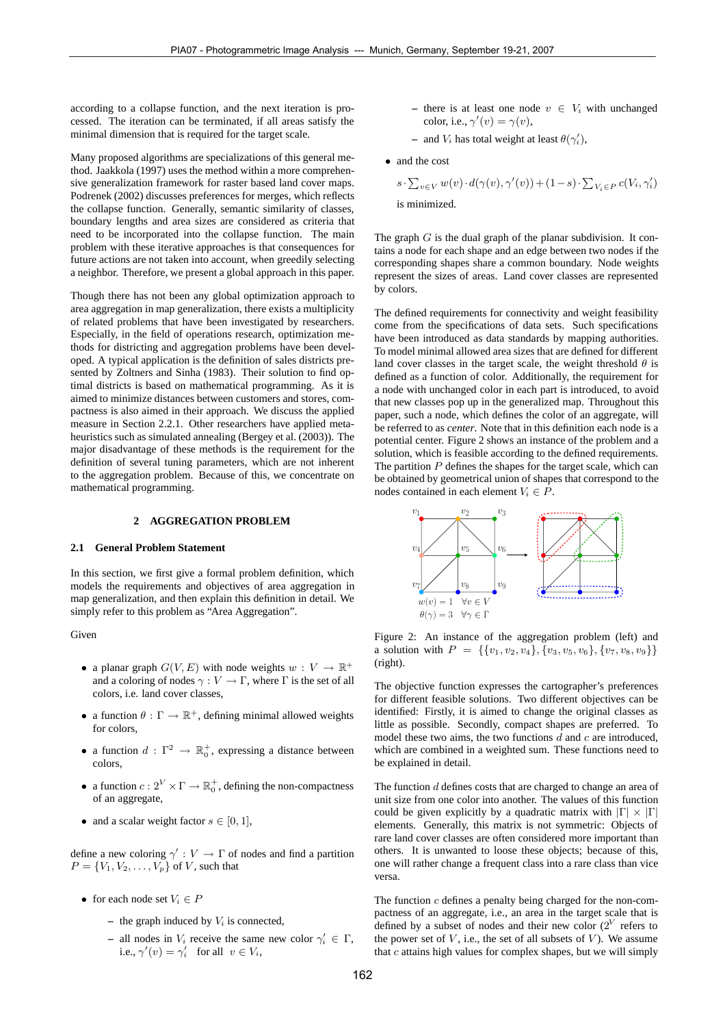according to a collapse function, and the next iteration is processed. The iteration can be terminated, if all areas satisfy the minimal dimension that is required for the target scale.

Many proposed algorithms are specializations of this general method. Jaakkola (1997) uses the method within a more comprehensive generalization framework for raster based land cover maps. Podrenek (2002) discusses preferences for merges, which reflects the collapse function. Generally, semantic similarity of classes, boundary lengths and area sizes are considered as criteria that need to be incorporated into the collapse function. The main problem with these iterative approaches is that consequences for future actions are not taken into account, when greedily selecting a neighbor. Therefore, we present a global approach in this paper.

Though there has not been any global optimization approach to area aggregation in map generalization, there exists a multiplicity of related problems that have been investigated by researchers. Especially, in the field of operations research, optimization methods for districting and aggregation problems have been developed. A typical application is the definition of sales districts presented by Zoltners and Sinha (1983). Their solution to find optimal districts is based on mathematical programming. As it is aimed to minimize distances between customers and stores, compactness is also aimed in their approach. We discuss the applied measure in Section 2.2.1. Other researchers have applied metaheuristics such as simulated annealing (Bergey et al. (2003)). The major disadvantage of these methods is the requirement for the definition of several tuning parameters, which are not inherent to the aggregation problem. Because of this, we concentrate on mathematical programming.

### **2 AGGREGATION PROBLEM**

#### **2.1 General Problem Statement**

In this section, we first give a formal problem definition, which models the requirements and objectives of area aggregation in map generalization, and then explain this definition in detail. We simply refer to this problem as "Area Aggregation".

Given

- a planar graph  $G(V, E)$  with node weights  $w: V \to \mathbb{R}^+$ and a coloring of nodes  $\gamma : V \to \Gamma$ , where  $\Gamma$  is the set of all colors, i.e. land cover classes,
- a function  $\theta : \Gamma \to \mathbb{R}^+$ , defining minimal allowed weights for colors,
- a function  $d : \Gamma^2 \to \mathbb{R}_0^+$ , expressing a distance between colors,
- a function  $c: 2^V \times \Gamma \to \mathbb{R}^+_0$ , defining the non-compactness of an aggregate,
- and a scalar weight factor  $s \in [0, 1]$ ,

define a new coloring  $\gamma' : V \to \Gamma$  of nodes and find a partition  $P = \{V_1, V_2, \ldots, V_p\}$  of V, such that

- for each node set  $V_i \in P$ 
	- **–** the graph induced by V*<sup>i</sup>* is connected,
	- *–* all nodes in  $V_i$  receive the same new color  $\gamma'_i \in \Gamma$ , i.e.,  $\gamma'(v) = \gamma'_i$  for all  $v \in V_i$ ,
- **–** there is at least one node v ∈ V*<sup>i</sup>* with unchanged color, i.e.,  $\gamma'(v) = \gamma(v)$ ,
- $-$  and  $V_i$  has total weight at least  $\theta(\gamma'_i)$ ,
- and the cost
	- $s \cdot \sum_{v \in V} w(v) \cdot d(\gamma(v), \gamma'(v)) + (1 s) \cdot \sum_{V_i \in P} c(V_i, \gamma'_i)$ is minimized.

The graph  $G$  is the dual graph of the planar subdivision. It contains a node for each shape and an edge between two nodes if the corresponding shapes share a common boundary. Node weights represent the sizes of areas. Land cover classes are represented by colors.

The defined requirements for connectivity and weight feasibility come from the specifications of data sets. Such specifications have been introduced as data standards by mapping authorities. To model minimal allowed area sizes that are defined for different land cover classes in the target scale, the weight threshold  $\theta$  is defined as a function of color. Additionally, the requirement for a node with unchanged color in each part is introduced, to avoid that new classes pop up in the generalized map. Throughout this paper, such a node, which defines the color of an aggregate, will be referred to as *center*. Note that in this definition each node is a potential center. Figure 2 shows an instance of the problem and a solution, which is feasible according to the defined requirements. The partition  $P$  defines the shapes for the target scale, which can be obtained by geometrical union of shapes that correspond to the nodes contained in each element  $V_i \in P$ .



Figure 2: An instance of the aggregation problem (left) and a solution with  $P = \{\{v_1, v_2, v_4\}, \{v_3, v_5, v_6\}, \{v_7, v_8, v_9\}\}\$ (right).

The objective function expresses the cartographer's preferences for different feasible solutions. Two different objectives can be identified: Firstly, it is aimed to change the original classes as little as possible. Secondly, compact shapes are preferred. To model these two aims, the two functions  $d$  and  $c$  are introduced, which are combined in a weighted sum. These functions need to be explained in detail.

The function  $d$  defines costs that are charged to change an area of unit size from one color into another. The values of this function could be given explicitly by a quadratic matrix with  $|\Gamma| \times |\Gamma|$ elements. Generally, this matrix is not symmetric: Objects of rare land cover classes are often considered more important than others. It is unwanted to loose these objects; because of this, one will rather change a frequent class into a rare class than vice versa.

The function  $c$  defines a penalty being charged for the non-compactness of an aggregate, i.e., an area in the target scale that is defined by a subset of nodes and their new color (2*<sup>V</sup>* refers to the power set of  $V$ , i.e., the set of all subsets of  $V$ ). We assume that  $c$  attains high values for complex shapes, but we will simply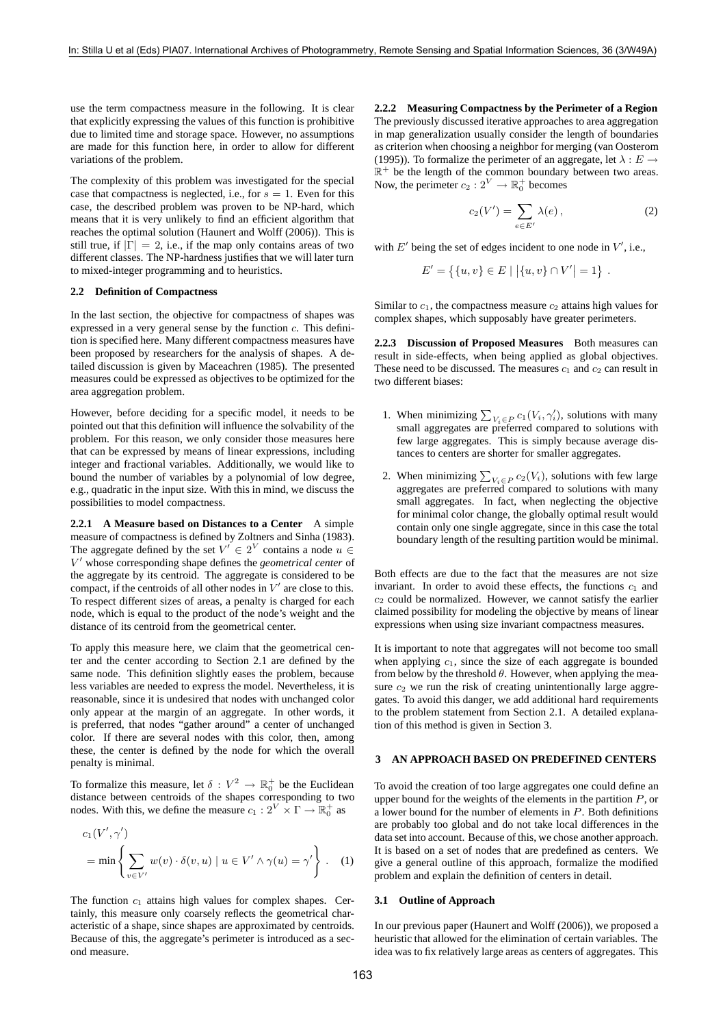use the term compactness measure in the following. It is clear that explicitly expressing the values of this function is prohibitive due to limited time and storage space. However, no assumptions are made for this function here, in order to allow for different variations of the problem.

The complexity of this problem was investigated for the special case that compactness is neglected, i.e., for  $s = 1$ . Even for this case, the described problem was proven to be NP-hard, which means that it is very unlikely to find an efficient algorithm that reaches the optimal solution (Haunert and Wolff (2006)). This is still true, if  $|\Gamma| = 2$ , i.e., if the map only contains areas of two different classes. The NP-hardness justifies that we will later turn to mixed-integer programming and to heuristics.

## **2.2 Definition of Compactness**

In the last section, the objective for compactness of shapes was expressed in a very general sense by the function c. This definition is specified here. Many different compactness measures have been proposed by researchers for the analysis of shapes. A detailed discussion is given by Maceachren (1985). The presented measures could be expressed as objectives to be optimized for the area aggregation problem.

However, before deciding for a specific model, it needs to be pointed out that this definition will influence the solvability of the problem. For this reason, we only consider those measures here that can be expressed by means of linear expressions, including integer and fractional variables. Additionally, we would like to bound the number of variables by a polynomial of low degree, e.g., quadratic in the input size. With this in mind, we discuss the possibilities to model compactness.

**2.2.1 A Measure based on Distances to a Center** A simple measure of compactness is defined by Zoltners and Sinha (1983). The aggregate defined by the set  $V' \in 2^V$  contains a node  $u \in$ V - whose corresponding shape defines the *geometrical center* of the aggregate by its centroid. The aggregate is considered to be compact, if the centroids of all other nodes in  $V'$  are close to this. To respect different sizes of areas, a penalty is charged for each node, which is equal to the product of the node's weight and the distance of its centroid from the geometrical center.

To apply this measure here, we claim that the geometrical center and the center according to Section 2.1 are defined by the same node. This definition slightly eases the problem, because less variables are needed to express the model. Nevertheless, it is reasonable, since it is undesired that nodes with unchanged color only appear at the margin of an aggregate. In other words, it is preferred, that nodes "gather around" a center of unchanged color. If there are several nodes with this color, then, among these, the center is defined by the node for which the overall penalty is minimal.

To formalize this measure, let  $\delta: V^2 \to \mathbb{R}^+_0$  be the Euclidean distance between centroids of the shapes corresponding to two nodes. With this, we define the measure  $c_1 : 2^V \times \Gamma \to \mathbb{R}_0^+$  as

$$
c_1(V',\gamma')
$$
  
= min  $\left\{\sum_{v \in V'} w(v) \cdot \delta(v,u) \mid u \in V' \wedge \gamma(u) = \gamma' \right\}$ . (1)

The function  $c_1$  attains high values for complex shapes. Certainly, this measure only coarsely reflects the geometrical characteristic of a shape, since shapes are approximated by centroids. Because of this, the aggregate's perimeter is introduced as a second measure.

**2.2.2 Measuring Compactness by the Perimeter of a Region** The previously discussed iterative approaches to area aggregation in map generalization usually consider the length of boundaries as criterion when choosing a neighbor for merging (van Oosterom (1995)). To formalize the perimeter of an aggregate, let  $\lambda : E \rightarrow$  $\mathbb{R}^+$  be the length of the common boundary between two areas. Now, the perimeter  $c_2 : 2^V \to \mathbb{R}^+_0$  becomes

$$
c_2(V') = \sum_{e \in E'} \lambda(e) \,, \tag{2}
$$

with  $E'$  being the set of edges incident to one node in  $V'$ , i.e.,

$$
E' = \{ \{u, v\} \in E \mid |\{u, v\} \cap V'| = 1 \}.
$$

Similar to  $c_1$ , the compactness measure  $c_2$  attains high values for complex shapes, which supposably have greater perimeters.

**2.2.3 Discussion of Proposed Measures** Both measures can result in side-effects, when being applied as global objectives. These need to be discussed. The measures  $c_1$  and  $c_2$  can result in two different biases:

- 1. When minimizing  $\sum_{V_i \in P} c_1(V_i, \gamma'_i)$ , solutions with many small aggregates are preferred compared to solutions with few large aggregates. This is simply because average distances to centers are shorter for smaller aggregates.
- 2. When minimizing  $\sum_{V_i \in P} c_2(V_i)$ , solutions with few large aggregates are preferred compared to solutions with many small aggregates. In fact, when neglecting the objective for minimal color change, the globally optimal result would contain only one single aggregate, since in this case the total boundary length of the resulting partition would be minimal.

Both effects are due to the fact that the measures are not size invariant. In order to avoid these effects, the functions  $c_1$  and  $c_2$  could be normalized. However, we cannot satisfy the earlier claimed possibility for modeling the objective by means of linear expressions when using size invariant compactness measures.

It is important to note that aggregates will not become too small when applying  $c_1$ , since the size of each aggregate is bounded from below by the threshold  $\theta$ . However, when applying the measure  $c_2$  we run the risk of creating unintentionally large aggregates. To avoid this danger, we add additional hard requirements to the problem statement from Section 2.1. A detailed explanation of this method is given in Section 3.

#### **3 AN APPROACH BASED ON PREDEFINED CENTERS**

To avoid the creation of too large aggregates one could define an upper bound for the weights of the elements in the partition  $P$ , or a lower bound for the number of elements in  $P$ . Both definitions are probably too global and do not take local differences in the data set into account. Because of this, we chose another approach. It is based on a set of nodes that are predefined as centers. We give a general outline of this approach, formalize the modified problem and explain the definition of centers in detail.

## **3.1 Outline of Approach**

In our previous paper (Haunert and Wolff (2006)), we proposed a heuristic that allowed for the elimination of certain variables. The idea was to fix relatively large areas as centers of aggregates. This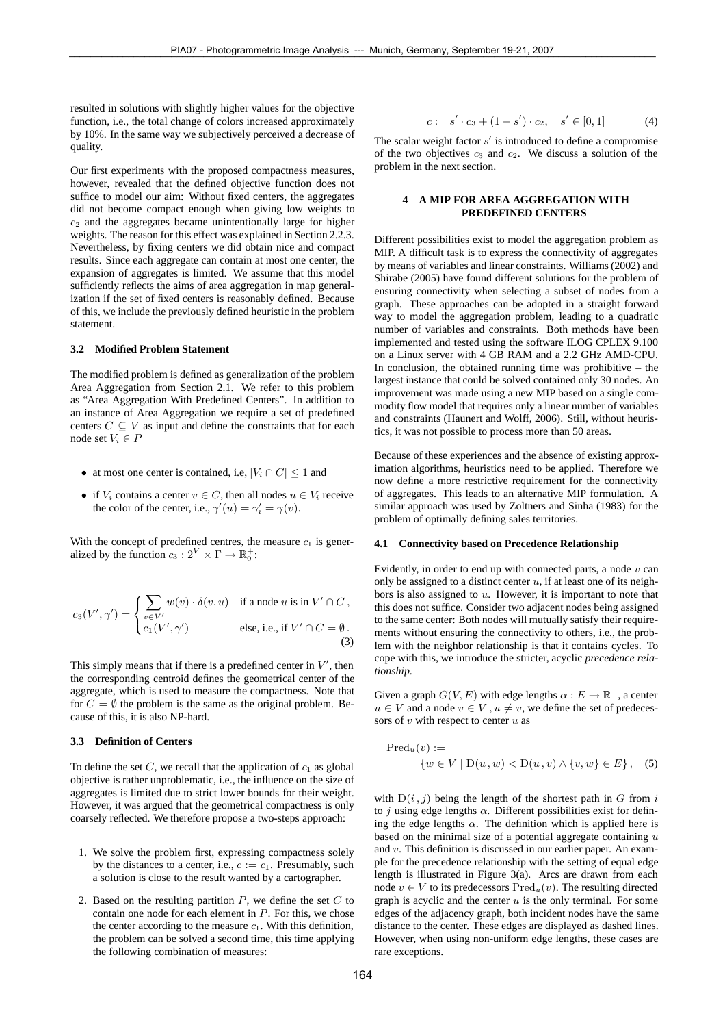resulted in solutions with slightly higher values for the objective function, i.e., the total change of colors increased approximately by 10%. In the same way we subjectively perceived a decrease of quality.

Our first experiments with the proposed compactness measures, however, revealed that the defined objective function does not suffice to model our aim: Without fixed centers, the aggregates did not become compact enough when giving low weights to  $c<sub>2</sub>$  and the aggregates became unintentionally large for higher weights. The reason for this effect was explained in Section 2.2.3. Nevertheless, by fixing centers we did obtain nice and compact results. Since each aggregate can contain at most one center, the expansion of aggregates is limited. We assume that this model sufficiently reflects the aims of area aggregation in map generalization if the set of fixed centers is reasonably defined. Because of this, we include the previously defined heuristic in the problem statement.

#### **3.2 Modified Problem Statement**

The modified problem is defined as generalization of the problem Area Aggregation from Section 2.1. We refer to this problem as "Area Aggregation With Predefined Centers". In addition to an instance of Area Aggregation we require a set of predefined centers  $C \subseteq V$  as input and define the constraints that for each node set  $V_i \in P$ 

- at most one center is contained, i.e,  $|V_i \cap C| \leq 1$  and
- if  $V_i$  contains a center  $v \in C$ , then all nodes  $u \in V_i$  receive the color of the center, i.e.,  $\gamma'(u) = \gamma'_i = \gamma(v)$ .

With the concept of predefined centres, the measure  $c_1$  is generalized by the function  $c_3: 2^V \times \Gamma \to \mathbb{R}_0^+$ :

$$
c_3(V',\gamma') = \begin{cases} \sum_{v \in V'} w(v) \cdot \delta(v,u) & \text{if a node } u \text{ is in } V' \cap C, \\ c_1(V',\gamma') & \text{else, i.e., if } V' \cap C = \emptyset. \\ (3) & \text{else, i.e., if } V' \cap C = \emptyset. \end{cases}
$$

This simply means that if there is a predefined center in  $V'$ , then the corresponding centroid defines the geometrical center of the aggregate, which is used to measure the compactness. Note that for  $C = \emptyset$  the problem is the same as the original problem. Because of this, it is also NP-hard.

#### **3.3 Definition of Centers**

To define the set  $C$ , we recall that the application of  $c_1$  as global objective is rather unproblematic, i.e., the influence on the size of aggregates is limited due to strict lower bounds for their weight. However, it was argued that the geometrical compactness is only coarsely reflected. We therefore propose a two-steps approach:

- 1. We solve the problem first, expressing compactness solely by the distances to a center, i.e.,  $c := c_1$ . Presumably, such a solution is close to the result wanted by a cartographer.
- 2. Based on the resulting partition  $P$ , we define the set  $C$  to contain one node for each element in P. For this, we chose the center according to the measure  $c_1$ . With this definition, the problem can be solved a second time, this time applying the following combination of measures:

$$
c := s' \cdot c_3 + (1 - s') \cdot c_2, \quad s' \in [0, 1] \tag{4}
$$

The scalar weight factor  $s'$  is introduced to define a compromise of the two objectives  $c_3$  and  $c_2$ . We discuss a solution of the problem in the next section.

### **4 A MIP FOR AREA AGGREGATION WITH PREDEFINED CENTERS**

Different possibilities exist to model the aggregation problem as MIP. A difficult task is to express the connectivity of aggregates by means of variables and linear constraints. Williams (2002) and Shirabe (2005) have found different solutions for the problem of ensuring connectivity when selecting a subset of nodes from a graph. These approaches can be adopted in a straight forward way to model the aggregation problem, leading to a quadratic number of variables and constraints. Both methods have been implemented and tested using the software ILOG CPLEX 9.100 on a Linux server with 4 GB RAM and a 2.2 GHz AMD-CPU. In conclusion, the obtained running time was prohibitive  $-$  the largest instance that could be solved contained only 30 nodes. An improvement was made using a new MIP based on a single commodity flow model that requires only a linear number of variables and constraints (Haunert and Wolff, 2006). Still, without heuristics, it was not possible to process more than 50 areas.

Because of these experiences and the absence of existing approximation algorithms, heuristics need to be applied. Therefore we now define a more restrictive requirement for the connectivity of aggregates. This leads to an alternative MIP formulation. A similar approach was used by Zoltners and Sinha (1983) for the problem of optimally defining sales territories.

#### **4.1 Connectivity based on Precedence Relationship**

Evidently, in order to end up with connected parts, a node  $v$  can only be assigned to a distinct center  $u$ , if at least one of its neighbors is also assigned to  $u$ . However, it is important to note that this does not suffice. Consider two adjacent nodes being assigned to the same center: Both nodes will mutually satisfy their requirements without ensuring the connectivity to others, i.e., the problem with the neighbor relationship is that it contains cycles. To cope with this, we introduce the stricter, acyclic *precedence relationship*.

Given a graph  $G(V, E)$  with edge lengths  $\alpha : E \to \mathbb{R}^+$ , a center  $u \in V$  and a node  $v \in V$ ,  $u \neq v$ , we define the set of predecessors of  $v$  with respect to center  $u$  as

$$
\text{Pred}_{u}(v) := \{ w \in V \mid D(u, w) < D(u, v) \land \{v, w\} \in E \}, \quad (5)
$$

with  $D(i, j)$  being the length of the shortest path in G from i to *j* using edge lengths  $\alpha$ . Different possibilities exist for defining the edge lengths  $\alpha$ . The definition which is applied here is based on the minimal size of a potential aggregate containing  $u$ and v. This definition is discussed in our earlier paper. An example for the precedence relationship with the setting of equal edge length is illustrated in Figure 3(a). Arcs are drawn from each node  $v ∈ V$  to its predecessors  $Pred_u(v)$ . The resulting directed graph is acyclic and the center  $u$  is the only terminal. For some edges of the adjacency graph, both incident nodes have the same distance to the center. These edges are displayed as dashed lines. However, when using non-uniform edge lengths, these cases are rare exceptions.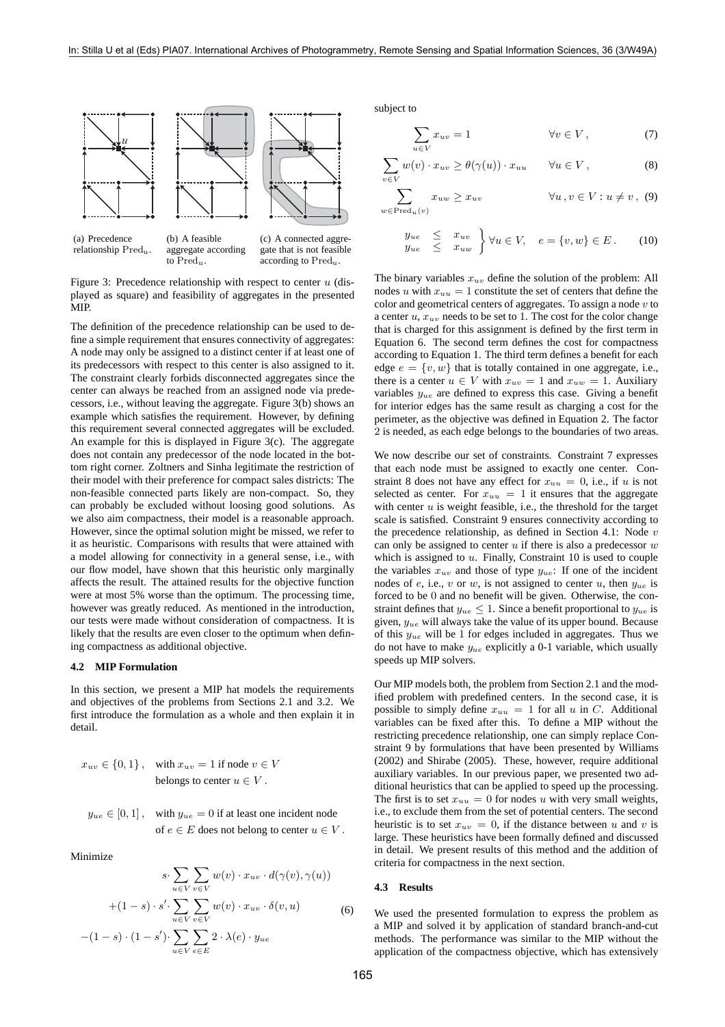

(a) Precedence relationship Pred*u*.

(b) A feasible aggregate according to Pred*u*.

gate that is not feasible according to Pred*u*.

Figure 3: Precedence relationship with respect to center  $u$  (displayed as square) and feasibility of aggregates in the presented MIP.

The definition of the precedence relationship can be used to define a simple requirement that ensures connectivity of aggregates: A node may only be assigned to a distinct center if at least one of its predecessors with respect to this center is also assigned to it. The constraint clearly forbids disconnected aggregates since the center can always be reached from an assigned node via predecessors, i.e., without leaving the aggregate. Figure 3(b) shows an example which satisfies the requirement. However, by defining this requirement several connected aggregates will be excluded. An example for this is displayed in Figure 3(c). The aggregate does not contain any predecessor of the node located in the bottom right corner. Zoltners and Sinha legitimate the restriction of their model with their preference for compact sales districts: The non-feasible connected parts likely are non-compact. So, they can probably be excluded without loosing good solutions. As we also aim compactness, their model is a reasonable approach. However, since the optimal solution might be missed, we refer to it as heuristic. Comparisons with results that were attained with a model allowing for connectivity in a general sense, i.e., with our flow model, have shown that this heuristic only marginally affects the result. The attained results for the objective function were at most 5% worse than the optimum. The processing time, however was greatly reduced. As mentioned in the introduction, our tests were made without consideration of compactness. It is likely that the results are even closer to the optimum when defining compactness as additional objective.

#### **4.2 MIP Formulation**

In this section, we present a MIP hat models the requirements and objectives of the problems from Sections 2.1 and 3.2. We first introduce the formulation as a whole and then explain it in detail.

$$
x_{uv} \in \{0, 1\}, \quad \text{with } x_{uv} = 1 \text{ if node } v \in V
$$
  
belongs to center  $u \in V$ .

$$
y_{ue} \in [0, 1], \quad \text{with } y_{ue} = 0 \text{ if at least one incident node} \text{of } e \in E \text{ does not belong to center } u \in V.
$$

Minimize

$$
s \cdot \sum_{u \in V} \sum_{v \in V} w(v) \cdot x_{uv} \cdot d(\gamma(v), \gamma(u))
$$
  
+
$$
(1 - s) \cdot s' \cdot \sum_{u \in V} \sum_{v \in V} w(v) \cdot x_{uv} \cdot \delta(v, u)
$$
  
-
$$
(1 - s) \cdot (1 - s') \cdot \sum_{u \in V} \sum_{e \in E} 2 \cdot \lambda(e) \cdot y_{ue}
$$
 (6)

subject to

$$
\sum_{u \in V} x_{uv} = 1 \qquad \forall v \in V, \qquad (7)
$$

$$
\sum_{v \in V} w(v) \cdot x_{uv} \ge \theta(\gamma(u)) \cdot x_{uu} \qquad \forall u \in V,
$$
\n(8)

$$
\sum_{w \in \text{Pred}_u(v)} x_{uw} \ge x_{uv} \qquad \forall u, v \in V : u \ne v, \tag{9}
$$

$$
\begin{array}{rcl}\ny_{ue} & \leq & x_{uv} \\
y_{ue} & \leq & x_{uw}\n\end{array}\n\big\} \forall u \in V, \quad e = \{v, w\} \in E. \tag{10}
$$

The binary variables x*uv* define the solution of the problem: All nodes u with  $x_{uu} = 1$  constitute the set of centers that define the color and geometrical centers of aggregates. To assign a node  $v$  to a center u, x*uv* needs to be set to 1. The cost for the color change that is charged for this assignment is defined by the first term in Equation 6. The second term defines the cost for compactness according to Equation 1. The third term defines a benefit for each edge  $e = \{v, w\}$  that is totally contained in one aggregate, i.e., there is a center  $u \in V$  with  $x_{uv} = 1$  and  $x_{uw} = 1$ . Auxiliary variables y*ue* are defined to express this case. Giving a benefit for interior edges has the same result as charging a cost for the perimeter, as the objective was defined in Equation 2. The factor 2 is needed, as each edge belongs to the boundaries of two areas.

We now describe our set of constraints. Constraint 7 expresses that each node must be assigned to exactly one center. Constraint 8 does not have any effect for  $x_{uu} = 0$ , i.e., if u is not selected as center. For  $x_{uu} = 1$  it ensures that the aggregate with center  $u$  is weight feasible, i.e., the threshold for the target scale is satisfied. Constraint 9 ensures connectivity according to the precedence relationship, as defined in Section 4.1: Node  $v$ can only be assigned to center  $u$  if there is also a predecessor  $w$ which is assigned to  $u$ . Finally, Constraint 10 is used to couple the variables  $x_{uv}$  and those of type  $y_{ue}$ : If one of the incident nodes of e, i.e., v or w, is not assigned to center u, then y*ue* is forced to be 0 and no benefit will be given. Otherwise, the constraint defines that  $y_{ue} \leq 1$ . Since a benefit proportional to  $y_{ue}$  is given, y*ue* will always take the value of its upper bound. Because of this y*ue* will be 1 for edges included in aggregates. Thus we do not have to make y*ue* explicitly a 0-1 variable, which usually speeds up MIP solvers.

Our MIP models both, the problem from Section 2.1 and the modified problem with predefined centers. In the second case, it is possible to simply define  $x_{uu} = 1$  for all u in C. Additional variables can be fixed after this. To define a MIP without the restricting precedence relationship, one can simply replace Constraint 9 by formulations that have been presented by Williams (2002) and Shirabe (2005). These, however, require additional auxiliary variables. In our previous paper, we presented two additional heuristics that can be applied to speed up the processing. The first is to set  $x_{uu} = 0$  for nodes u with very small weights, i.e., to exclude them from the set of potential centers. The second heuristic is to set  $x_{uv} = 0$ , if the distance between u and v is large. These heuristics have been formally defined and discussed in detail. We present results of this method and the addition of criteria for compactness in the next section.

### **4.3 Results**

We used the presented formulation to express the problem as a MIP and solved it by application of standard branch-and-cut methods. The performance was similar to the MIP without the application of the compactness objective, which has extensively